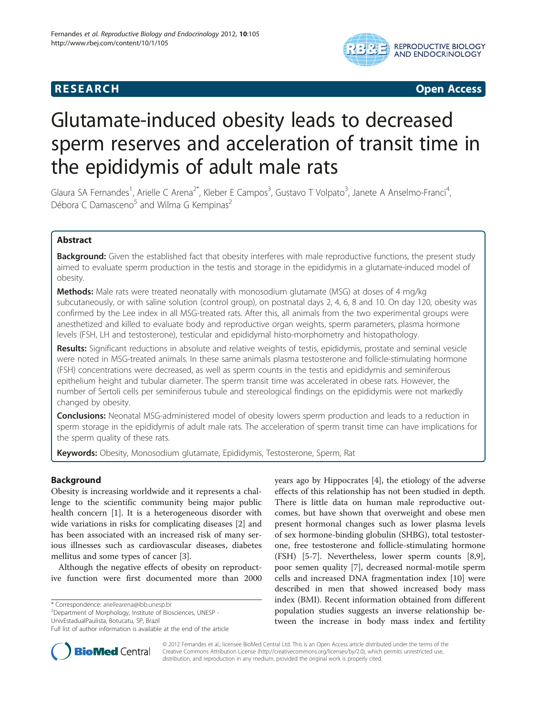# **RESEARCH CHINESE ARCH CHINESE ARCH CHINESE ARCH**



# Glutamate-induced obesity leads to decreased sperm reserves and acceleration of transit time in the epididymis of adult male rats

Glaura SA Fernandes<sup>1</sup>, Arielle C Arena<sup>2\*</sup>, Kleber E Campos<sup>3</sup>, Gustavo T Volpato<sup>3</sup>, Janete A Anselmo-Franci<sup>4</sup> , Débora C Damasceno $5$  and Wilma G Kempinas<sup>2</sup>

# Abstract

Background: Given the established fact that obesity interferes with male reproductive functions, the present study aimed to evaluate sperm production in the testis and storage in the epididymis in a glutamate-induced model of obesity.

Methods: Male rats were treated neonatally with monosodium glutamate (MSG) at doses of 4 mg/kg subcutaneously, or with saline solution (control group), on postnatal days 2, 4, 6, 8 and 10. On day 120, obesity was confirmed by the Lee index in all MSG-treated rats. After this, all animals from the two experimental groups were anesthetized and killed to evaluate body and reproductive organ weights, sperm parameters, plasma hormone levels (FSH, LH and testosterone), testicular and epididymal histo-morphometry and histopathology.

Results: Significant reductions in absolute and relative weights of testis, epididymis, prostate and seminal vesicle were noted in MSG-treated animals. In these same animals plasma testosterone and follicle-stimulating hormone (FSH) concentrations were decreased, as well as sperm counts in the testis and epididymis and seminiferous epithelium height and tubular diameter. The sperm transit time was accelerated in obese rats. However, the number of Sertoli cells per seminiferous tubule and stereological findings on the epididymis were not markedly changed by obesity.

**Conclusions:** Neonatal MSG-administered model of obesity lowers sperm production and leads to a reduction in sperm storage in the epididymis of adult male rats. The acceleration of sperm transit time can have implications for the sperm quality of these rats.

Keywords: Obesity, Monosodium glutamate, Epididymis, Testosterone, Sperm, Rat

# Background

Obesity is increasing worldwide and it represents a challenge to the scientific community being major public health concern [\[1](#page-4-0)]. It is a heterogeneous disorder with wide variations in risks for complicating diseases [\[2](#page-4-0)] and has been associated with an increased risk of many serious illnesses such as cardiovascular diseases, diabetes mellitus and some types of cancer [\[3](#page-4-0)].

Although the negative effects of obesity on reproductive function were first documented more than 2000

\* Correspondence: [ariellearena@ibb.unesp.br](mailto:ariellearena@ibb.unesp.br) <sup>2</sup>

<sup>2</sup>Department of Morphology, Institute of Biosciences, UNESP -UnivEstadualPaulista, Botucatu, SP, Brazil

years ago by Hippocrates [\[4](#page-4-0)], the etiology of the adverse effects of this relationship has not been studied in depth. There is little data on human male reproductive outcomes, but have shown that overweight and obese men present hormonal changes such as lower plasma levels of sex hormone-binding globulin (SHBG), total testosterone, free testosterone and follicle-stimulating hormone (FSH) [\[5](#page-4-0)-[7\]](#page-4-0). Nevertheless, lower sperm counts [\[8,9](#page-4-0)], poor semen quality [\[7](#page-4-0)], decreased normal-motile sperm cells and increased DNA fragmentation index [[10](#page-4-0)] were described in men that showed increased body mass index (BMI). Recent information obtained from different population studies suggests an inverse relationship between the increase in body mass index and fertility



© 2012 Fernandes et al.; licensee BioMed Central Ltd. This is an Open Access article distributed under the terms of the Creative Commons Attribution License (<http://creativecommons.org/licenses/by/2.0>), which permits unrestricted use, distribution, and reproduction in any medium, provided the original work is properly cited.

Full list of author information is available at the end of the article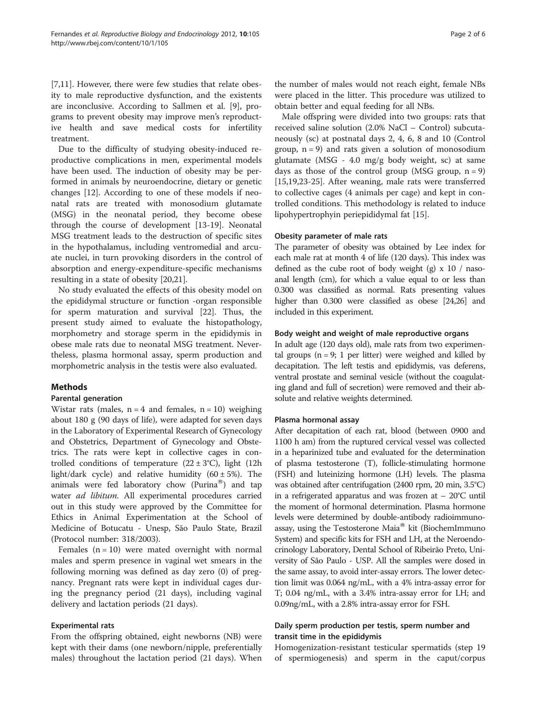[[7,11\]](#page-4-0). However, there were few studies that relate obesity to male reproductive dysfunction, and the existents are inconclusive. According to Sallmen et al. [[9\]](#page-4-0), programs to prevent obesity may improve men's reproductive health and save medical costs for infertility treatment.

Due to the difficulty of studying obesity-induced reproductive complications in men, experimental models have been used. The induction of obesity may be performed in animals by neuroendocrine, dietary or genetic changes [\[12\]](#page-4-0). According to one of these models if neonatal rats are treated with monosodium glutamate (MSG) in the neonatal period, they become obese through the course of development [[13-](#page-4-0)[19\]](#page-5-0). Neonatal MSG treatment leads to the destruction of specific sites in the hypothalamus, including ventromedial and arcuate nuclei, in turn provoking disorders in the control of absorption and energy-expenditure-specific mechanisms resulting in a state of obesity [[20,21\]](#page-5-0).

No study evaluated the effects of this obesity model on the epididymal structure or function -organ responsible for sperm maturation and survival [[22\]](#page-5-0). Thus, the present study aimed to evaluate the histopathology, morphometry and storage sperm in the epididymis in obese male rats due to neonatal MSG treatment. Nevertheless, plasma hormonal assay, sperm production and morphometric analysis in the testis were also evaluated.

# Methods

#### Parental generation

Wistar rats (males,  $n = 4$  and females,  $n = 10$ ) weighing about 180 g (90 days of life), were adapted for seven days in the Laboratory of Experimental Research of Gynecology and Obstetrics, Department of Gynecology and Obstetrics. The rats were kept in collective cages in controlled conditions of temperature  $(22 \pm 3^{\circ}C)$ , light  $(12h)$ light/dark cycle) and relative humidity  $(60 \pm 5\%)$ . The animals were fed laboratory chow (Purina®) and tap water ad libitum. All experimental procedures carried out in this study were approved by the Committee for Ethics in Animal Experimentation at the School of Medicine of Botucatu - Unesp, São Paulo State, Brazil (Protocol number: 318/2003).

Females  $(n = 10)$  were mated overnight with normal males and sperm presence in vaginal wet smears in the following morning was defined as day zero (0) of pregnancy. Pregnant rats were kept in individual cages during the pregnancy period (21 days), including vaginal delivery and lactation periods (21 days).

#### Experimental rats

From the offspring obtained, eight newborns (NB) were kept with their dams (one newborn/nipple, preferentially males) throughout the lactation period (21 days). When the number of males would not reach eight, female NBs were placed in the litter. This procedure was utilized to obtain better and equal feeding for all NBs.

Male offspring were divided into two groups: rats that received saline solution (2.0% NaCl – Control) subcutaneously (sc) at postnatal days 2, 4, 6, 8 and 10 (Control group,  $n = 9$ ) and rats given a solution of monosodium glutamate (MSG - 4.0 mg/g body weight, sc) at same days as those of the control group (MSG group,  $n = 9$ ) [[15,19,23-25\]](#page-5-0). After weaning, male rats were transferred to collective cages (4 animals per cage) and kept in controlled conditions. This methodology is related to induce lipohypertrophyin periepididymal fat [\[15\]](#page-5-0).

#### Obesity parameter of male rats

The parameter of obesity was obtained by Lee index for each male rat at month 4 of life (120 days). This index was defined as the cube root of body weight (g)  $x$  10 / nasoanal length (cm), for which a value equal to or less than 0.300 was classified as normal. Rats presenting values higher than 0.300 were classified as obese [\[24,26](#page-5-0)] and included in this experiment.

#### Body weight and weight of male reproductive organs

In adult age (120 days old), male rats from two experimental groups ( $n = 9$ ; 1 per litter) were weighed and killed by decapitation. The left testis and epididymis, vas deferens, ventral prostate and seminal vesicle (without the coagulating gland and full of secretion) were removed and their absolute and relative weights determined.

#### Plasma hormonal assay

After decapitation of each rat, blood (between 0900 and 1100 h am) from the ruptured cervical vessel was collected in a heparinized tube and evaluated for the determination of plasma testosterone (T), follicle-stimulating hormone (FSH) and luteinizing hormone (LH) levels. The plasma was obtained after centrifugation (2400 rpm, 20 min, 3.5°C) in a refrigerated apparatus and was frozen at  $-20^{\circ}$ C until the moment of hormonal determination. Plasma hormone levels were determined by double-antibody radioimmunoassay, using the Testosterone Maia $^{\circledR}$  kit (BiochemImmuno System) and specific kits for FSH and LH, at the Neroendocrinology Laboratory, Dental School of Ribeirão Preto, University of São Paulo - USP. All the samples were dosed in the same assay, to avoid inter-assay errors. The lower detection limit was 0.064 ng/mL, with a 4% intra-assay error for T; 0.04 ng/mL, with a 3.4% intra-assay error for LH; and 0.09ng/mL, with a 2.8% intra-assay error for FSH.

### Daily sperm production per testis, sperm number and transit time in the epididymis

Homogenization-resistant testicular spermatids (step 19 of spermiogenesis) and sperm in the caput/corpus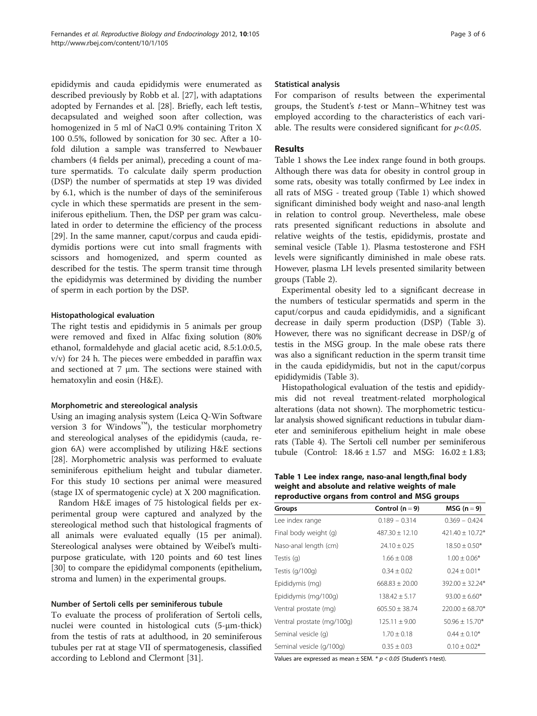epididymis and cauda epididymis were enumerated as described previously by Robb et al. [[27\]](#page-5-0), with adaptations adopted by Fernandes et al. [\[28\]](#page-5-0). Briefly, each left testis, decapsulated and weighed soon after collection, was homogenized in 5 ml of NaCl 0.9% containing Triton X 100 0.5%, followed by sonication for 30 sec. After a 10 fold dilution a sample was transferred to Newbauer chambers (4 fields per animal), preceding a count of mature spermatids. To calculate daily sperm production (DSP) the number of spermatids at step 19 was divided by 6.1, which is the number of days of the seminiferous cycle in which these spermatids are present in the seminiferous epithelium. Then, the DSP per gram was calculated in order to determine the efficiency of the process [[29\]](#page-5-0). In the same manner, caput/corpus and cauda epididymidis portions were cut into small fragments with scissors and homogenized, and sperm counted as described for the testis. The sperm transit time through the epididymis was determined by dividing the number of sperm in each portion by the DSP.

#### Histopathological evaluation

The right testis and epididymis in 5 animals per group were removed and fixed in Alfac fixing solution (80% ethanol, formaldehyde and glacial acetic acid, 8.5:1.0:0.5, v/v) for 24 h. The pieces were embedded in paraffin wax and sectioned at 7  $\mu$ m. The sections were stained with hematoxylin and eosin (H&E).

# Morphometric and stereological analysis

Using an imaging analysis system (Leica Q-Win Software version 3 for Windows<sup>™</sup>), the testicular morphometry and stereological analyses of the epididymis (cauda, region 6A) were accomplished by utilizing H&E sections [[28\]](#page-5-0). Morphometric analysis was performed to evaluate seminiferous epithelium height and tubular diameter. For this study 10 sections per animal were measured (stage IX of spermatogenic cycle) at X 200 magnification.

Random H&E images of 75 histological fields per experimental group were captured and analyzed by the stereological method such that histological fragments of all animals were evaluated equally (15 per animal). Stereological analyses were obtained by Weibel's multipurpose graticulate, with 120 points and 60 test lines [[30\]](#page-5-0) to compare the epididymal components (epithelium, stroma and lumen) in the experimental groups.

#### Number of Sertoli cells per seminiferous tubule

To evaluate the process of proliferation of Sertoli cells, nuclei were counted in histological cuts (5-μm-thick) from the testis of rats at adulthood, in 20 seminiferous tubules per rat at stage VII of spermatogenesis, classified according to Leblond and Clermont [\[31](#page-5-0)].

#### Statistical analysis

For comparison of results between the experimental groups, the Student's t-test or Mann–Whitney test was employed according to the characteristics of each variable. The results were considered significant for  $p < 0.05$ .

### Results

Table 1 shows the Lee index range found in both groups. Although there was data for obesity in control group in some rats, obesity was totally confirmed by Lee index in all rats of MSG - treated group (Table 1) which showed significant diminished body weight and naso-anal length in relation to control group. Nevertheless, male obese rats presented significant reductions in absolute and relative weights of the testis, epididymis, prostate and seminal vesicle (Table 1). Plasma testosterone and FSH levels were significantly diminished in male obese rats. However, plasma LH levels presented similarity between groups (Table [2\)](#page-3-0).

Experimental obesity led to a significant decrease in the numbers of testicular spermatids and sperm in the caput/corpus and cauda epididymidis, and a significant decrease in daily sperm production (DSP) (Table [3](#page-3-0)). However, there was no significant decrease in DSP/g of testis in the MSG group. In the male obese rats there was also a significant reduction in the sperm transit time in the cauda epididymidis, but not in the caput/corpus epididymidis (Table [3\)](#page-3-0).

Histopathological evaluation of the testis and epididymis did not reveal treatment-related morphological alterations (data not shown). The morphometric testicular analysis showed significant reductions in tubular diameter and seminiferous epithelium height in male obese rats (Table [4](#page-3-0)). The Sertoli cell number per seminiferous tubule (Control:  $18.46 \pm 1.57$  and MSG:  $16.02 \pm 1.83$ ;

Table 1 Lee index range, naso-anal length,final body weight and absolute and relative weights of male reproductive organs from control and MSG groups

| Groups                     | Control $(n = 9)$  | $MSG (n=9)$          |  |
|----------------------------|--------------------|----------------------|--|
| Lee index range            | $0.189 - 0.314$    | $0.369 - 0.424$      |  |
| Final body weight (g)      | $487.30 \pm 12.10$ | $421.40 \pm 10.72$ * |  |
| Naso-anal length (cm)      | $24.10 \pm 0.25$   | $18.50 \pm 0.50*$    |  |
| Testis (g)                 | $1.66 \pm 0.08$    | $1.00 \pm 0.06*$     |  |
| Testis $(q/100q)$          | $0.34 \pm 0.02$    | $0.24 \pm 0.01*$     |  |
| Epididymis (mg)            | $668.83 \pm 20.00$ | $392.00 \pm 32.24*$  |  |
| Epididymis (mg/100g)       | $138.42 \pm 5.17$  | $93.00 \pm 6.60*$    |  |
| Ventral prostate (mg)      | $605.50 \pm 38.74$ | $220.00 \pm 68.70*$  |  |
| Ventral prostate (mg/100g) | $125.11 \pm 9.00$  | $50.96 \pm 15.70*$   |  |
| Seminal vesicle (q)        | $1.70 \pm 0.18$    | $0.44 \pm 0.10*$     |  |
| Seminal vesicle (g/100g)   | $0.35 \pm 0.03$    | $0.10 \pm 0.02*$     |  |
|                            |                    |                      |  |

Values are expressed as mean  $\pm$  SEM. \*  $p < 0.05$  (Student's t-test).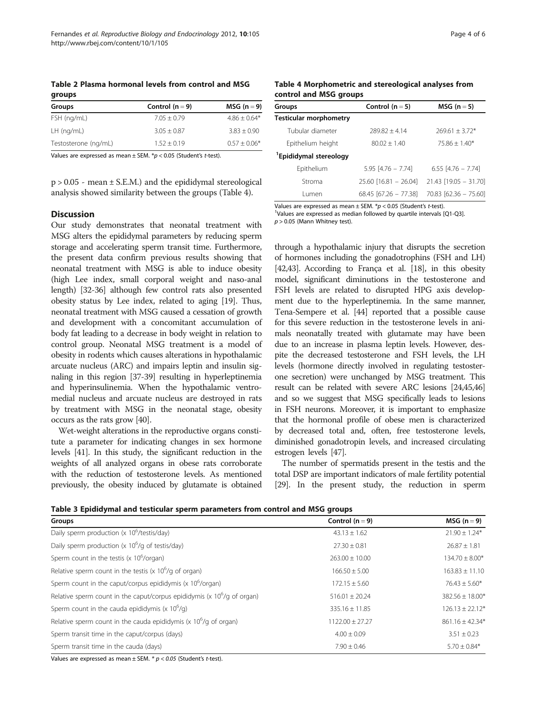<span id="page-3-0"></span>Table 2 Plasma hormonal levels from control and MSG groups

| Groups               | Control $(n = 9)$ | $MSG (n = 9)$    |
|----------------------|-------------------|------------------|
| FSH (ng/mL)          | $7.05 + 0.79$     | $4.86 \pm 0.64*$ |
| $LH$ (ng/mL)         | $3.05 \pm 0.87$   | $3.83 + 0.90$    |
| Testosterone (ng/mL) | $1.52 + 0.19$     | $0.57 \pm 0.06*$ |

Values are expressed as mean  $\pm$  SEM.  $*$ p < 0.05 (Student's t-test).

p > 0.05 - mean ± S.E.M.) and the epididymal stereological analysis showed similarity between the groups (Table 4).

# **Discussion**

Our study demonstrates that neonatal treatment with MSG alters the epididymal parameters by reducing sperm storage and accelerating sperm transit time. Furthermore, the present data confirm previous results showing that neonatal treatment with MSG is able to induce obesity (high Lee index, small corporal weight and naso-anal length) [\[32-36\]](#page-5-0) although few control rats also presented obesity status by Lee index, related to aging [[19](#page-5-0)]. Thus, neonatal treatment with MSG caused a cessation of growth and development with a concomitant accumulation of body fat leading to a decrease in body weight in relation to control group. Neonatal MSG treatment is a model of obesity in rodents which causes alterations in hypothalamic arcuate nucleus (ARC) and impairs leptin and insulin signaling in this region [\[37-39\]](#page-5-0) resulting in hyperleptinemia and hyperinsulinemia. When the hypothalamic ventromedial nucleus and arcuate nucleus are destroyed in rats by treatment with MSG in the neonatal stage, obesity occurs as the rats grow [\[40\]](#page-5-0).

Wet-weight alterations in the reproductive organs constitute a parameter for indicating changes in sex hormone levels [\[41\]](#page-5-0). In this study, the significant reduction in the weights of all analyzed organs in obese rats corroborate with the reduction of testosterone levels. As mentioned previously, the obesity induced by glutamate is obtained

Table 4 Morphometric and stereological analyses from control and MSG groups

| Groups                             | Control $(n = 5)$       | $MSG (n = 5)$           |
|------------------------------------|-------------------------|-------------------------|
| Testicular morphometry             |                         |                         |
| Tubular diameter                   | $789.87 + 4.14$         | $769.61 + 3.72*$        |
| Epithelium height                  | $80.02 + 1.40$          | $75.86 + 1.40*$         |
| <sup>1</sup> Epididymal stereology |                         |                         |
| Epithelium                         | $5.95$ [4.76 - 7.74]    | $6.55$ [4.76 - 7.74]    |
| Stroma                             | $25.60$ [16.81 - 26.04] | $21.43$ [19.05 - 31.70] |
| l umen                             | 68.45 [67.26 – 77.38]   | $70.83$ [62.36 - 75.60] |

Values are expressed as mean  $\pm$  SEM.  $*p < 0.05$  (Student's t-test). <sup>1</sup>Values are expressed as median followed by quartile intervals [Q1-Q3].

 $p > 0.05$  (Mann Whitney test).

through a hypothalamic injury that disrupts the secretion of hormones including the gonadotrophins (FSH and LH) [[42,43\]](#page-5-0). According to França et al. [[18](#page-5-0)], in this obesity model, significant diminutions in the testosterone and FSH levels are related to disrupted HPG axis development due to the hyperleptinemia. In the same manner, Tena-Sempere et al. [[44\]](#page-5-0) reported that a possible cause for this severe reduction in the testosterone levels in animals neonatally treated with glutamate may have been due to an increase in plasma leptin levels. However, despite the decreased testosterone and FSH levels, the LH levels (hormone directly involved in regulating testosterone secretion) were unchanged by MSG treatment. This result can be related with severe ARC lesions [\[24,45,46](#page-5-0)] and so we suggest that MSG specifically leads to lesions in FSH neurons. Moreover, it is important to emphasize that the hormonal profile of obese men is characterized by decreased total and, often, free testosterone levels, diminished gonadotropin levels, and increased circulating estrogen levels [\[47](#page-5-0)].

The number of spermatids present in the testis and the total DSP are important indicators of male fertility potential [[29](#page-5-0)]. In the present study, the reduction in sperm

Table 3 Epididymal and testicular sperm parameters from control and MSG groups

| Groups                                                                                      | Control $(n = 9)$   | $MSG (n=9)$         |
|---------------------------------------------------------------------------------------------|---------------------|---------------------|
| Daily sperm production (x 10 <sup>6</sup> /testis/day)                                      | $43.13 \pm 1.62$    | $21.90 \pm 1.24*$   |
| Daily sperm production (x $10^6$ /g of testis/day)                                          | $27.30 \pm 0.81$    | $26.87 \pm 1.81$    |
| Sperm count in the testis (x $10^6$ /organ)                                                 | $263.00 \pm 10.00$  | $134.70 \pm 8.00*$  |
| Relative sperm count in the testis (x $10^6$ /g of organ)                                   | $166.50 \pm 5.00$   | $163.83 \pm 11.10$  |
| Sperm count in the caput/corpus epididymis ( $\times$ 10 $^6$ /organ)                       | $172.15 \pm 5.60$   | $76.43 \pm 5.60*$   |
| Relative sperm count in the caput/corpus epididymis ( $\times$ 10 <sup>6</sup> /g of organ) | $516.01 + 20.24$    | $382.56 \pm 18.00*$ |
| Sperm count in the cauda epididymis (x $10^6$ /g)                                           | $335.16 \pm 11.85$  | $126.13 \pm 22.12*$ |
| Relative sperm count in the cauda epididymis ( $\times$ 10 <sup>6</sup> /g of organ)        | $1122.00 \pm 27.27$ | $861.16 \pm 42.34*$ |
| Sperm transit time in the caput/corpus (days)                                               | $4.00 \pm 0.09$     | $3.51 \pm 0.23$     |
| Sperm transit time in the cauda (days)                                                      | $7.90 \pm 0.46$     | $5.70 \pm 0.84*$    |

Values are expressed as mean  $\pm$  SEM. \*  $p < 0.05$  (Student's t-test).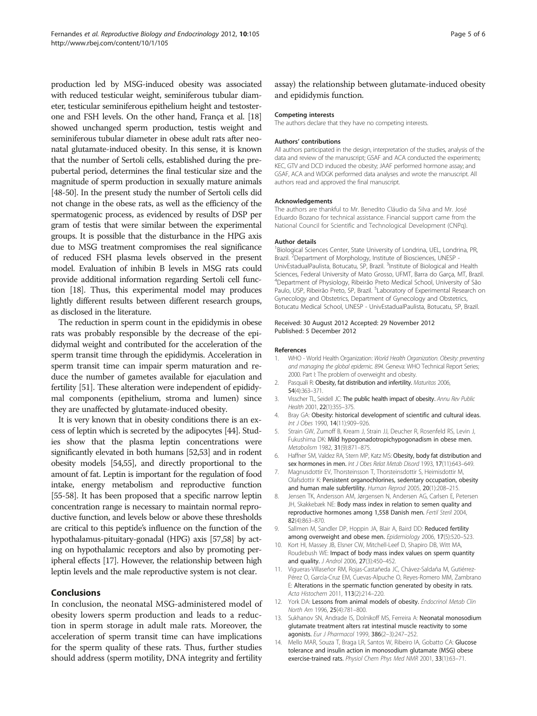<span id="page-4-0"></span>production led by MSG-induced obesity was associated with reduced testicular weight, seminiferous tubular diameter, testicular seminiferous epithelium height and testosterone and FSH levels. On the other hand, França et al. [\[18](#page-5-0)] showed unchanged sperm production, testis weight and seminiferous tubular diameter in obese adult rats after neonatal glutamate-induced obesity. In this sense, it is known that the number of Sertoli cells, established during the prepubertal period, determines the final testicular size and the magnitude of sperm production in sexually mature animals [[48](#page-5-0)-[50\]](#page-5-0). In the present study the number of Sertoli cells did not change in the obese rats, as well as the efficiency of the spermatogenic process, as evidenced by results of DSP per gram of testis that were similar between the experimental groups. It is possible that the disturbance in the HPG axis due to MSG treatment compromises the real significance of reduced FSH plasma levels observed in the present model. Evaluation of inhibin B levels in MSG rats could provide additional information regarding Sertoli cell function [\[18\]](#page-5-0). Thus, this experimental model may produces lightly different results between different research groups, as disclosed in the literature.

The reduction in sperm count in the epididymis in obese rats was probably responsible by the decrease of the epididymal weight and contributed for the acceleration of the sperm transit time through the epididymis. Acceleration in sperm transit time can impair sperm maturation and reduce the number of gametes available for ejaculation and fertility [[51](#page-5-0)]. These alteration were independent of epididymal components (epithelium, stroma and lumen) since they are unaffected by glutamate-induced obesity.

It is very known that in obesity conditions there is an excess of leptin which is secreted by the adipocytes [\[44](#page-5-0)]. Studies show that the plasma leptin concentrations were significantly elevated in both humans [[52,53](#page-5-0)] and in rodent obesity models [[54,55](#page-5-0)], and directly proportional to the amount of fat. Leptin is important for the regulation of food intake, energy metabolism and reproductive function [[55](#page-5-0)-[58\]](#page-5-0). It has been proposed that a specific narrow leptin concentration range is necessary to maintain normal reproductive function, and levels below or above these thresholds are critical to this peptide's influence on the function of the hypothalamus-pituitary-gonadal (HPG) axis [[57,58\]](#page-5-0) by acting on hypothalamic receptors and also by promoting peripheral effects [\[17](#page-5-0)]. However, the relationship between high leptin levels and the male reproductive system is not clear.

# **Conclusions**

In conclusion, the neonatal MSG-administered model of obesity lowers sperm production and leads to a reduction in sperm storage in adult male rats. Moreover, the acceleration of sperm transit time can have implications for the sperm quality of these rats. Thus, further studies should address (sperm motility, DNA integrity and fertility

assay) the relationship between glutamate-induced obesity and epididymis function.

#### Competing interests

The authors declare that they have no competing interests.

#### Authors' contributions

All authors participated in the design, interpretation of the studies, analysis of the data and review of the manuscript; GSAF and ACA conducted the experiments; KEC, GTV and DCD induced the obesity; JAAF performed hormone assay; and GSAF, ACA and WDGK performed data analyses and wrote the manuscript. All authors read and approved the final manuscript.

#### Acknowledgements

The authors are thankful to Mr. Benedito Cláudio da Silva and Mr. José Eduardo Bozano for technical assistance. Financial support came from the National Council for Scientific and Technological Development (CNPq).

#### Author details

<sup>1</sup> Biological Sciences Center, State University of Londrina, UEL, Londrina, PR Brazil. <sup>2</sup>Department of Morphology, Institute of Biosciences, UNESP -UnivEstadualPaulista, Botucatu, SP, Brazil. <sup>3</sup>Institute of Biological and Health Sciences, Federal University of Mato Grosso, UFMT, Barra do Garça, MT, Brazil. 4 Department of Physiology, Ribeirão Preto Medical School, University of São Paulo, USP, Ribeirão Preto, SP, Brazil. <sup>5</sup>Laboratory of Experimental Research on Gynecology and Obstetrics, Department of Gynecology and Obstetrics, Botucatu Medical School, UNESP - UnivEstadualPaulista, Botucatu, SP, Brazil.

#### Received: 30 August 2012 Accepted: 29 November 2012 Published: 5 December 2012

#### References

- 1. WHO World Health Organization: World Health Organization. Obesity: preventing and managing the global epidemic. 894. Geneva: WHO Technical Report Series; 2000. Part I: The problem of overweight and obesity.
- 2. Pasquali R: Obesity, fat distribution and infertility. Maturitas 2006, 54(4):363–371.
- 3. Visscher TL, Seidell JC: The public health impact of obesity. Annu Rev Public Health 2001, 22(1):355–375.
- Bray GA: Obesity: historical development of scientific and cultural ideas. Int J Obes 1990, 14(11):909–926.
- 5. Strain GW, Zumoff B, Kream J, Strain JJ, Deucher R, Rosenfeld RS, Levin J, Fukushima DK: Mild hypogonadotropichypogonadism in obese men. Metabolism 1982, 31(9):871–875.
- 6. Haffner SM, Valdez RA, Stern MP, Katz MS: Obesity, body fat distribution and sex hormones in men. Int J Obes Relat Metab Disord 1993, 17(11):643-649.
- 7. Magnusdottir EV, Thorsteinsson T, Thorsteinsdottir S, Heimisdottir M, Olafsdottir K: Persistent organochlorines, sedentary occupation, obesity and human male subfertility. Human Reprod 2005, 20(1):208–215.
- 8. Jensen TK, Andersson AM, Jørgensen N, Andersen AG, Carlsen E, Petersen JH, Skakkebæk NE: Body mass index in relation to semen quality and reproductive hormones among 1,558 Danish men. Fertil Steril 2004, 82(4):863–870.
- 9. Sallmen M, Sandler DP, Hoppin JA, Blair A, Baird DD: Reduced fertility among overweight and obese men. Epidemiology 2006, 17(5):520-523.
- 10. Kort HI, Massey JB, Elsner CW, Mitchell-Leef D, Shapiro DB, Witt MA, Roudebush WE: Impact of body mass index values on sperm quantity and quality. J Androl 2006, 27(3):450–452.
- 11. Vigueras-Villaseñor RM, Rojas-Castañeda JC, Chávez-Saldaña M, Gutiérrez-Pérez O, García-Cruz EM, Cuevas-Alpuche O, Reyes-Romero MM, Zambrano E: Alterations in the spermatic function generated by obesity in rats. Acta Histochem 2011, 113(2):214–220.
- 12. York DA: Lessons from animal models of obesity. Endocrinol Metab Clin North Am 1996, 25(4):781–800.
- 13. Sukhanov SN, Andrade IS, Dolnikoff MS, Ferreira A: Neonatal monosodium glutamate treatment alters rat intestinal muscle reactivity to some agonists. Eur J Pharmacol 1999, 386(2–3):247–252.
- 14. Mello MAR, Souza T, Braga LR, Santos W, Ribeiro IA, Gobatto CA: Glucose tolerance and insulin action in monosodium glutamate (MSG) obese exercise-trained rats. Physiol Chem Phys Med NMR 2001, 33(1):63–71.